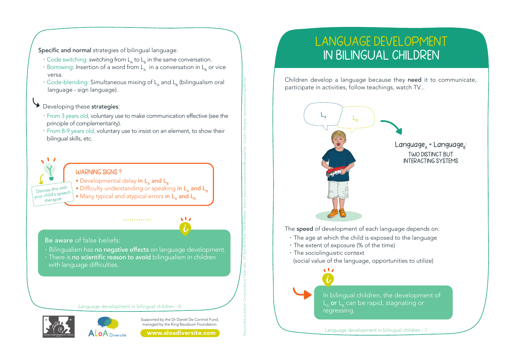Specific and normal strategies of bilingual language:

- · Code switching: switching from L<sub>n</sub> to L<sub>p</sub> in the same conversation.
- $\cdot$  Borrowing: Insertion of a word from  $L_n$  in a conversation in  $L_p$  or vice versa
- . Code-blending: Simultaneous mixing of L, and L, (bilingualism oral language - sign language).

## Developing these strategies:

- · From 3 years old, voluntary use to make communication effective (see the principle of complementarity).
- · From 8-9 years old, voluntary use to insist on an element, to show their bilingual skills, etc.









## www.aloadiversite.com

## **LANGUAGE DEVELOPMENT IN BILINGUAL CHILDREN**

Children develop a language because they need it to communicate, participate in activities, follow teachings, watch TV...



Language development in bilingual children - 1